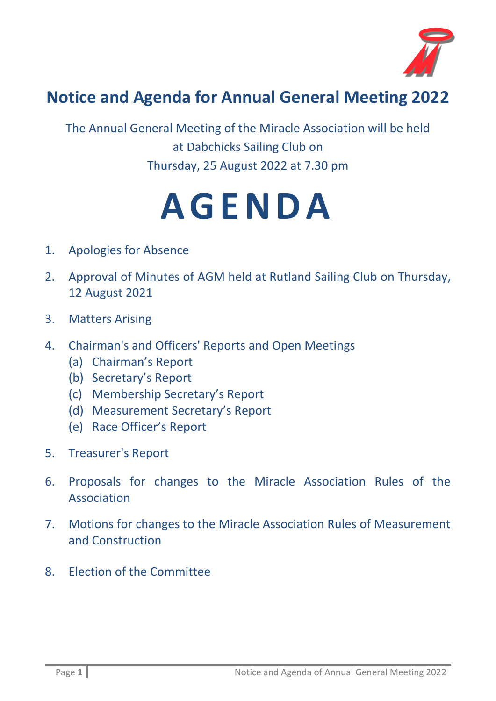

## **Notice and Agenda for Annual General Meeting 2022**

The Annual General Meeting of the Miracle Association will be held at Dabchicks Sailing Club on Thursday, 25 August 2022 at 7.30 pm

## **A G E N D A**

- 1. Apologies for Absence
- 2. Approval of Minutes of AGM held at Rutland Sailing Club on Thursday, 12 August 2021
- 3. Matters Arising
- 4. Chairman's and Officers' Reports and Open Meetings
	- (a) Chairman's Report
	- (b) Secretary's Report
	- (c) Membership Secretary's Report
	- (d) Measurement Secretary's Report
	- (e) Race Officer's Report
- 5. Treasurer's Report
- 6. Proposals for changes to the Miracle Association Rules of the Association
- 7. Motions for changes to the Miracle Association Rules of Measurement and Construction
- 8. Election of the Committee